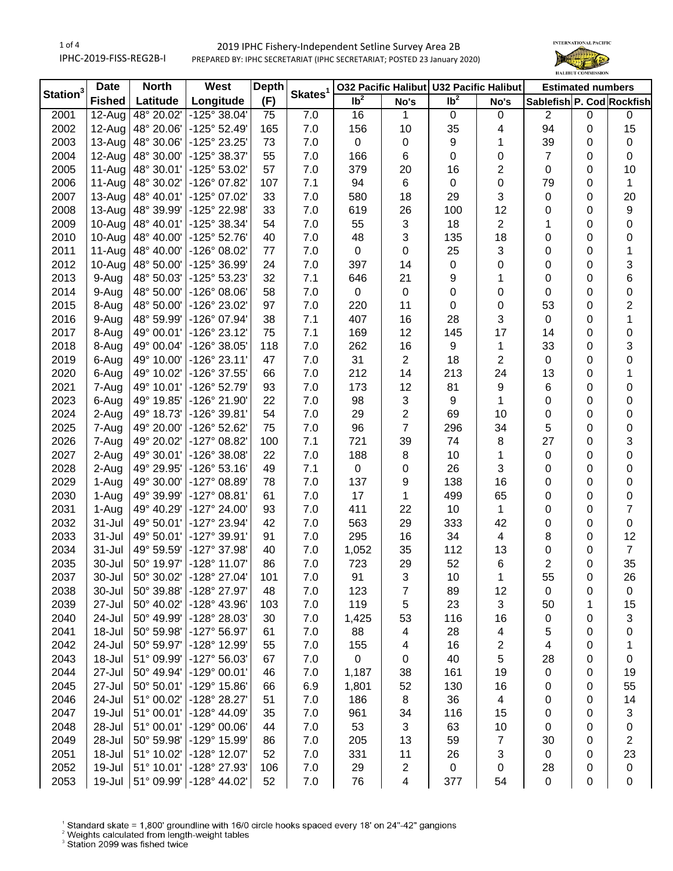1 of 4 IPHC-2019-FISS-REG2B-I

## 2019 IPHC Fishery-Independent Setline Survey Area 2B PREPARED BY: IPHC SECRETARIAT (IPHC SECRETARIAT; POSTED 23 January 2020)



| Station <sup>3</sup> | <b>Date</b>          | <b>North</b>       | West                                           | <b>Depth</b> |                     |                 |                | 032 Pacific Halibut U32 Pacific Halibut |                         | <b>Estimated numbers</b>  |        |                         |
|----------------------|----------------------|--------------------|------------------------------------------------|--------------|---------------------|-----------------|----------------|-----------------------------------------|-------------------------|---------------------------|--------|-------------------------|
|                      | <b>Fished</b>        | Latitude           | Longitude                                      | (F)          | Skates <sup>1</sup> | Ib <sup>2</sup> | No's           | $\overline{\mathsf{lb}^2}$              | No's                    | Sablefish P. Cod Rockfish |        |                         |
| 2001                 | $\overline{1}$ 2-Aug | 48° 20.02'         | $-125^{\circ} 38.04'$                          | 75           | 7.0                 | 16              | 1              | $\mathbf 0$                             | 0                       | 2                         | 0      | 0                       |
| 2002                 | $12$ -Aug            | 48° 20.06'         | $-125^{\circ}$ 52.49'                          | 165          | 7.0                 | 156             | 10             | 35                                      | 4                       | 94                        | 0      | 15                      |
| 2003                 | $13$ -Aug            | 48° 30.06'         | -125° 23.25'                                   | 73           | 7.0                 | $\mathbf 0$     | 0              | 9                                       | 1                       | 39                        | 0      | $\pmb{0}$               |
| 2004                 | $12$ -Aug            | 48° 30.00'         | -125° 38.37'                                   | 55           | 7.0                 | 166             | 6              | $\mathbf 0$                             | 0                       | 7                         | 0      | $\pmb{0}$               |
| 2005                 | $11-Aug$             | 48° 30.01'         | -125° 53.02'                                   | 57           | 7.0                 | 379             | 20             | 16                                      | 2                       | 0                         | 0      | 10                      |
| 2006                 | $11-Aug$             | 48° 30.02'         | -126° 07.82'                                   | 107          | 7.1                 | 94              | 6              | $\pmb{0}$                               | 0                       | 79                        | 0      | 1                       |
| 2007                 | $13-Aug$             | 48° 40.01'         | -125° 07.02'                                   | 33           | 7.0                 | 580             | 18             | 29                                      | 3                       | 0                         | 0      | 20                      |
| 2008                 | $13$ -Aug            | 48° 39.99'         | -125° 22.98'                                   | 33           | 7.0                 | 619             | 26             | 100                                     | 12                      | 0                         | 0      | 9                       |
| 2009                 | 10-Aug               | 48° 40.01'         | -125° 38.34'                                   | 54           | 7.0                 | 55              | 3              | 18                                      | 2                       | 1                         | 0      | 0                       |
| 2010                 | 10-Aug               | 48° 40.00'         | $-125^{\circ}52.76'$                           | 40           | 7.0                 | 48              | 3              | 135                                     | 18                      | 0                         | 0      | 0                       |
| 2011                 | 11-Aug               | 48° 40.00'         | -126° 08.02'                                   | 77           | 7.0                 | 0               | 0              | 25                                      | 3                       | 0                         | 0      | 1                       |
| 2012                 | 10-Aug               | 48° 50.00'         | -125° 36.99'                                   | 24           | 7.0                 | 397             | 14             | $\pmb{0}$                               | 0                       | 0                         | 0      | $\sqrt{3}$              |
| 2013                 | 9-Aug                | 48° 50.03'         | -125° 53.23'                                   | 32           | 7.1                 | 646             | 21             | 9                                       | 1                       | 0                         | 0      | $\,6$                   |
| 2014                 | 9-Aug                | 48° 50.00'         | $-126^{\circ}$ 08.06'                          | 58           | 7.0                 | 0               | $\mathbf 0$    | $\pmb{0}$                               | 0                       | 0                         | 0      | $\mathbf 0$             |
| 2015                 | 8-Aug                | 48° 50.00'         | -126° 23.02'                                   | 97           | 7.0                 | 220             | 11             | $\pmb{0}$                               | 0                       | 53                        | 0      | $\overline{\mathbf{c}}$ |
| 2016                 | 9-Aug                | 48° 59.99'         | -126° 07.94'                                   | 38           | 7.1                 | 407             | 16             | 28                                      | 3                       | $\mathbf 0$               | 0      | $\mathbf{1}$            |
| 2017                 | 8-Aug                | 49° 00.01'         | -126° 23.12'                                   | 75           | 7.1                 | 169             | 12             | 145                                     | 17                      | 14                        | 0      | $\,0\,$                 |
| 2018                 | 8-Aug                | 49° 00.04'         | -126° 38.05'                                   | 118          | 7.0                 | 262             | 16             | 9                                       | 1                       | 33                        | 0      | 3                       |
| 2019                 | 6-Aug                | 49° 10.00'         | $-126°23.11'$                                  | 47           | 7.0                 | 31              | $\overline{2}$ | 18                                      | 2                       | $\pmb{0}$                 | 0      | $\mathbf 0$             |
| 2020                 | 6-Aug                | 49° 10.02'         | -126° 37.55'                                   | 66           | 7.0                 | 212             | 14             | 213                                     | 24                      | 13                        | 0      | 1                       |
| 2021                 | 7-Aug                | 49° 10.01'         | -126° 52.79'                                   | 93           | 7.0                 | 173             | 12             | 81                                      | 9                       | 6                         | 0      | 0                       |
| 2023                 | 6-Aug                | 49° 19.85'         | -126° 21.90'                                   | 22           | 7.0                 | 98              | 3              | 9                                       | 1                       | 0                         | 0      | 0                       |
| 2024                 | 2-Aug                | 49° 18.73'         | -126° 39.81'                                   | 54           | 7.0                 | 29              | 2              | 69                                      | 10                      | 0                         | 0      | 0                       |
| 2025                 | 7-Aug                | 49° 20.00'         | -126° 52.62'                                   | 75           | 7.0                 | 96              | $\overline{7}$ | 296                                     | 34                      | 5                         | 0      | 0                       |
| 2026                 | 7-Aug                | 49° 20.02'         | $-127^{\circ}$ 08.82'                          | 100          | 7.1                 | 721             | 39             | 74                                      | 8                       | 27                        | 0      | 3                       |
|                      | 2-Aug                | 49° 30.01'         | $-126^{\circ}$ 38.08'                          |              |                     |                 |                |                                         |                         |                           |        |                         |
| 2027<br>2028         |                      | 49° 29.95'         | $-126°53.16'$                                  | 22           | 7.0<br>7.1          | 188<br>0        | 8              | 10<br>26                                | 1<br>3                  | 0                         | 0<br>0 | 0                       |
|                      | 2-Aug                |                    |                                                | 49<br>78     |                     |                 | 0              | 138                                     |                         | 0                         |        | 0                       |
| 2029                 | 1-Aug                | 49° 30.00'         | $-127^{\circ}$ 08.89'                          |              | 7.0                 | 137             | 9              |                                         | 16                      | 0                         | 0      | 0                       |
| 2030                 | 1-Aug                | 49° 39.99'         | $-127^{\circ}$ 08.81'<br>$-127^{\circ} 24.00'$ | 61           | 7.0                 | 17              | 1              | 499                                     | 65                      | 0                         | 0      | $\,0\,$                 |
| 2031                 | 1-Aug                | 49° 40.29'         |                                                | 93           | 7.0                 | 411             | 22             | 10 <sub>1</sub>                         | $\mathbf{1}$            | 0                         | 0      | $\overline{7}$          |
| 2032                 | 31-Jul               | 49° 50.01'         | -127° 23.94'                                   | 42           | 7.0                 | 563             | 29             | 333                                     | 42                      | 0                         | 0      | 0                       |
| 2033                 | 31-Jul               | 49° 50.01'         | -127° 39.91'                                   | 91           | 7.0                 | 295             | 16             | 34                                      | 4                       | 8                         | 0      | 12                      |
| 2034                 | 31-Jul               | 49° 59.59'         | -127° 37.98'                                   | 40           | 7.0                 | 1,052           | 35             | 112                                     | 13                      | 0                         | 0      | $\overline{7}$          |
| 2035                 | 30-Jul               | 50° 19.97'         | $-128°11.07'$                                  | 86           | 7.0                 | 723             | 29             | 52                                      | 6                       | $\overline{c}$            | 0      | 35                      |
| 2037                 | 30-Jul               | $50^{\circ}$ 30.02 | -128° 27.04'                                   | 101          | 7.0                 | 91              | 3              | 10                                      | 1                       | 55                        | 0      | 26                      |
| 2038                 | 30-Jul               | 50° 39.88'         | -128° 27.97'                                   | 48           | 7.0                 | 123             | 7              | 89                                      | 12                      | 0                         | 0      | 0                       |
| 2039                 | 27-Jul               | 50° 40.02'         | $-128^{\circ}$ 43.96'                          | 103          | 7.0                 | 119             | 5              | 23                                      | 3                       | 50                        | 1      | 15                      |
| 2040                 | 24-Jul               | 50° 49.99'         | -128° 28.03'                                   | 30           | 7.0                 | 1,425           | 53             | 116                                     | 16                      | 0                         | 0      | 3                       |
| 2041                 | 18-Jul               | 50° 59.98'         | $-127^{\circ} 56.97'$                          | 61           | 7.0                 | 88              | 4              | 28                                      | 4                       | 5                         | 0      | 0                       |
| 2042                 | 24-Jul               | 50° 59.97'         | -128° 12.99'                                   | 55           | 7.0                 | 155             | 4              | 16                                      | $\overline{\mathbf{c}}$ | 4                         | 0      | 1                       |
| 2043                 | 18-Jul               | 51° 09.99'         | $-127^{\circ} 56.03'$                          | 67           | 7.0                 | 0               | 0              | 40                                      | 5                       | 28                        | 0      | 0                       |
| 2044                 | 27-Jul               | 50° 49.94'         | $-129^{\circ}$ 00.01'                          | 46           | 7.0                 | 1,187           | 38             | 161                                     | 19                      | 0                         | 0      | 19                      |
| 2045                 | 27-Jul               | 50° 50.01'         | $-129^{\circ}$ 15.86'                          | 66           | 6.9                 | 1,801           | 52             | 130                                     | 16                      | 0                         | 0      | 55                      |
| 2046                 | 24-Jul               | 51° 00.02'         | -128° 28.27'                                   | 51           | 7.0                 | 186             | 8              | 36                                      | 4                       | 0                         | 0      | 14                      |
| 2047                 | 19-Jul               | 51° 00.01'         | $-128^{\circ}$ 44.09'                          | 35           | 7.0                 | 961             | 34             | 116                                     | 15                      | 0                         | 0      | 3                       |
| 2048                 | 28-Jul               | 51° 00.01'         | $-129^{\circ}$ 00.06'                          | 44           | 7.0                 | 53              | 3              | 63                                      | 10                      | 0                         | 0      | 0                       |
| 2049                 | 28-Jul               | 50° 59.98'         | -129° 15.99'                                   | 86           | 7.0                 | 205             | 13             | 59                                      | 7                       | 30                        | 0      | 2                       |
| 2051                 | 18-Jul               | 51° 10.02'         | $-128^{\circ}$ 12.07'                          | 52           | 7.0                 | 331             | 11             | 26                                      | 3                       | $\mathbf 0$               | 0      | 23                      |
| 2052                 | 19-Jul               | 51° 10.01'         | -128° 27.93'                                   | 106          | 7.0                 | 29              | 2              | $\mathbf 0$                             | 0                       | 28                        | 0      | 0                       |
| 2053                 | 19-Jul               | 51° 09.99'         | -128° 44.02'                                   | 52           | 7.0                 | 76              | 4              | 377                                     | 54                      | $\mathsf 0$               | 0      | 0                       |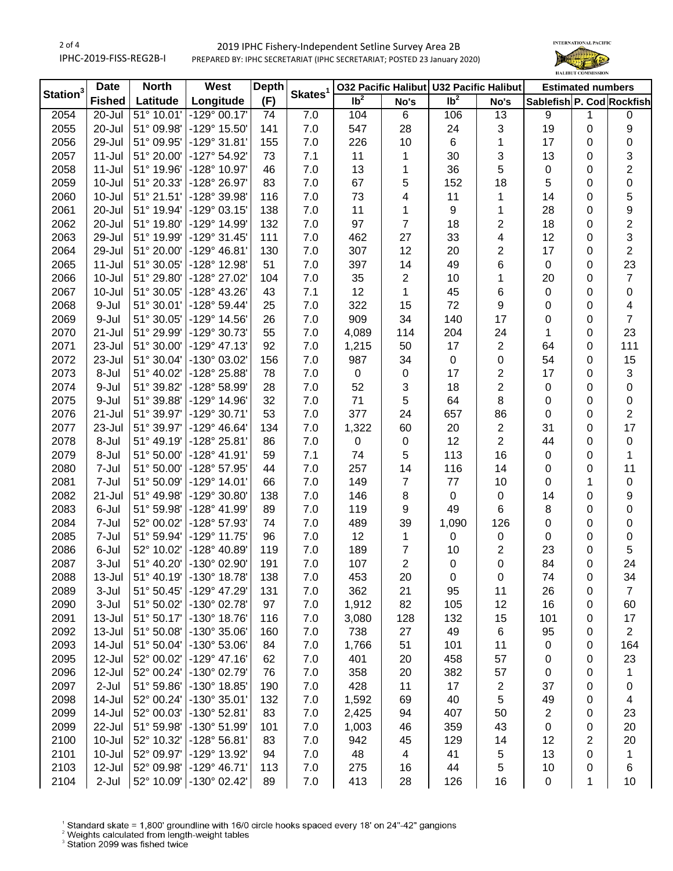2 of 4 IPHC-2019-FISS-REG2B-I

## 2019 IPHC Fishery-Independent Setline Survey Area 2B PREPARED BY: IPHC SECRETARIAT (IPHC SECRETARIAT; POSTED 23 January 2020)



|             | <b>Date</b>   | <b>North</b>        | West                     | <b>Depth</b> | Skates <sup>1</sup> |                   |                | 032 Pacific Halibut U32 Pacific Halibut |                  |                           | <b>Estimated numbers</b> |                           |
|-------------|---------------|---------------------|--------------------------|--------------|---------------------|-------------------|----------------|-----------------------------------------|------------------|---------------------------|--------------------------|---------------------------|
| Station $3$ | <b>Fished</b> | Latitude            | Longitude                | (F)          |                     | $\overline{1}b^2$ | No's           | $\overline{\mathsf{lb}^2}$              | No's             | Sablefish P. Cod Rockfish |                          |                           |
| 2054        | 20-Jul        | 51° 10.01'          | $-129^{\circ}$ 00.17'    | 74           | 7.0                 | 104               | 6              | 106                                     | 13               | 9                         | 1                        | 0                         |
| 2055        | 20-Jul        | 51° 09.98'          | -129° 15.50'             | 141          | 7.0                 | 547               | 28             | 24                                      | 3                | 19                        | $\mathbf 0$              | 9                         |
| 2056        | 29-Jul        | 51° 09.95'          | $-129°31.81'$            | 155          | 7.0                 | 226               | 10             | 6                                       | 1                | 17                        | 0                        | 0                         |
| 2057        | $11 -$ Jul    | 51° 20.00'          | -127° 54.92'             | 73           | 7.1                 | 11                | 1              | 30                                      | 3                | 13                        | 0                        | 3                         |
| 2058        | $11 -$ Jul    | 51° 19.96'          | $-128^{\circ}$ 10.97'    | 46           | 7.0                 | 13                | 1              | 36                                      | 5                | $\pmb{0}$                 | 0                        | $\overline{\mathbf{c}}$   |
| 2059        | 10-Jul        | 51° 20.33'          | -128° 26.97'             | 83           | 7.0                 | 67                | 5              | 152                                     | 18               | 5                         | 0                        | 0                         |
| 2060        | 10-Jul        | 51° 21.51'          | -128° 39.98'             | 116          | 7.0                 | 73                | 4              | 11                                      | 1                | 14                        | 0                        | 5                         |
| 2061        | 20-Jul        | 51° 19.94'          | -129° 03.15'             | 138          | 7.0                 | 11                | 1              | 9                                       | 1                | 28                        | 0                        | 9                         |
| 2062        | 20-Jul        | 51° 19.80'          | -129° 14.99'             | 132          | 7.0                 | 97                | $\overline{7}$ | 18                                      | $\overline{c}$   | 18                        | 0                        | $\overline{\mathbf{c}}$   |
| 2063        | 29-Jul        | 51° 19.99'          | $-129°31.45'$            | 111          | 7.0                 | 462               | 27             | 33                                      | 4                | 12                        | 0                        | $\ensuremath{\mathsf{3}}$ |
| 2064        | 29-Jul        | 51° 20.00'          | $-129^{\circ}$ 46.81'    | 130          | 7.0                 | 307               | 12             | 20                                      | 2                | 17                        | 0                        | $\boldsymbol{2}$          |
| 2065        | $11 -$ Jul    | 51° 30.05'          | -128° 12.98'             | 51           | 7.0                 | 397               | 14             | 49                                      | 6                | $\pmb{0}$                 | 0                        | 23                        |
| 2066        | 10-Jul        | 51° 29.80'          | -128° 27.02'             | 104          | 7.0                 | 35                | $\overline{2}$ | 10                                      | 1                | 20                        | $\mathbf 0$              | $\boldsymbol{7}$          |
| 2067        | 10-Jul        | 51° 30.05'          | -128° 43.26'             | 43           | 7.1                 | 12                | 1              | 45                                      | 6                | $\pmb{0}$                 | $\mathbf 0$              | $\pmb{0}$                 |
| 2068        | 9-Jul         | 51° 30.01'          | -128° 59.44'             | 25           | 7.0                 | 322               | 15             | 72                                      | $\boldsymbol{9}$ | 0                         | 0                        | $\overline{\mathbf{4}}$   |
| 2069        | 9-Jul         | 51° 30.05'          | $-129^{\circ}$ 14.56'    | 26           | 7.0                 | 909               | 34             | 140                                     | 17               | 0                         | 0                        | $\overline{7}$            |
| 2070        | 21-Jul        | 51° 29.99'          | -129° 30.73'             | 55           | 7.0                 | 4,089             | 114            | 204                                     | 24               | 1                         | 0                        | 23                        |
| 2071        | 23-Jul        | 51° 30.00'          | $-129°$ 47.13'           | 92           | 7.0                 | 1,215             | 50             | 17                                      | $\boldsymbol{2}$ | 64                        | 0                        | 111                       |
| 2072        | 23-Jul        | 51° 30.04'          | -130° 03.02'             | 156          | 7.0                 | 987               | 34             | $\pmb{0}$                               | 0                | 54                        | 0                        | 15                        |
| 2073        | 8-Jul         | 51° 40.02'          | -128° 25.88'             | 78           | 7.0                 | $\mathbf 0$       | $\pmb{0}$      | 17                                      | $\boldsymbol{2}$ | 17                        | 0                        | $\ensuremath{\mathsf{3}}$ |
| 2074        | 9-Jul         | 51° 39.82'          | -128° 58.99'             | 28           | 7.0                 | 52                | 3              | 18                                      | $\overline{2}$   | $\pmb{0}$                 | 0                        |                           |
|             |               |                     | $-129^{\circ}$ 14.96'    |              |                     | 71                |                |                                         |                  |                           |                          | 0                         |
| 2075        | 9-Jul         | 51° 39.88'          |                          | 32           | 7.0                 |                   | 5              | 64                                      | 8                | 0                         | 0                        | $\pmb{0}$                 |
| 2076        | 21-Jul        | 51° 39.97'          | -129° 30.71'             | 53           | 7.0                 | 377               | 24             | 657                                     | 86               | 0                         | 0                        | 2                         |
| 2077        | 23-Jul        | 51° 39.97'          | $-129^{\circ}$ 46.64'    | 134          | 7.0                 | 1,322             | 60             | 20                                      | $\boldsymbol{2}$ | 31                        | 0                        | 17                        |
| 2078        | 8-Jul         | 51° 49.19'          | -128° 25.81'             | 86           | 7.0                 | $\boldsymbol{0}$  | 0              | 12                                      | $\overline{2}$   | 44                        | 0                        | $\pmb{0}$                 |
| 2079        | 8-Jul         | 51° 50.00'          | $-128° 41.91'$           | 59           | 7.1                 | 74                | 5              | 113                                     | 16               | 0                         | 0                        | 1                         |
| 2080        | 7-Jul         | 51° 50.00'          | -128° 57.95'             | 44           | 7.0                 | 257               | 14             | 116                                     | 14               | 0                         | 0                        | 11                        |
| 2081        | 7-Jul         | 51° 50.09'          | $-129°14.01'$            | 66           | 7.0                 | 149               | $\overline{7}$ | 77                                      | 10               | 0                         | 1                        | $\mathbf 0$               |
| 2082        | 21-Jul        | 51° 49.98'          | -129° 30.80'             | 138          | $7.0$               | 146               | 8              | $\mathbf 0$                             | $\pmb{0}$        | 14                        | $\mathbf 0$              | 9                         |
| 2083        | 6-Jul         | 51° 59.98'          | -128° 41.99'             | 89           | 7.0                 | 119               | 9              | 49                                      | 6                | 8                         | $\mathbf 0$              | $\pmb{0}$                 |
| 2084        | 7-Jul         | 52° 00.02'          | -128° 57.93'             | 74           | 7.0                 | 489               | 39             | 1,090                                   | 126              | $\pmb{0}$                 | 0                        | $\pmb{0}$                 |
| 2085        | 7-Jul         | 51° 59.94'          | $-129°$ 11.75'           | 96           | 7.0                 | 12                | 1              | 0                                       | $\pmb{0}$        | $\pmb{0}$                 | 0                        | $\pmb{0}$                 |
| 2086        | 6-Jul         | 52° 10.02'          | -128° 40.89'             | 119          | $7.0$               | 189               | $\overline{7}$ | 10                                      | $\sqrt{2}$       | 23                        | 0                        | 5                         |
| 2087        | 3-Jul         | 51° 40.20'          | -130° 02.90'             | 191          | 7.0                 | 107               | $\overline{2}$ | $\pmb{0}$                               | 0                | 84                        | 0                        | 24                        |
| 2088        | 13-Jul        | $51^{\circ}$ 40.19' | $-130^{\circ}$ 18.78'    | 138          | 7.0                 | 453               | 20             | 0                                       | 0                | 74                        | 0                        | 34                        |
| 2089        | 3-Jul         | 51° 50.45'          | $-129^{\circ}$ 47.29'    | 131          | 7.0                 | 362               | 21             | 95                                      | 11               | 26                        | 0                        | 7                         |
| 2090        | 3-Jul         | 51° 50.02'          | -130° 02.78'             | 97           | $7.0$               | 1,912             | 82             | 105                                     | 12               | 16                        | 0                        | 60                        |
| 2091        | 13-Jul        | 51° 50.17'          | $-130^{\circ}$ 18.76'    | 116          | $7.0$               | 3,080             | 128            | 132                                     | 15               | 101                       | 0                        | 17                        |
| 2092        | $13 -$ Jul    | 51° 50.08'          | -130° 35.06'             | 160          | 7.0                 | 738               | 27             | 49                                      | 6                | 95                        | 0                        | $\overline{2}$            |
| 2093        | 14-Jul        | 51° 50.04'          | $-130^{\circ}$ 53.06'    | 84           | 7.0                 | 1,766             | 51             | 101                                     | 11               | 0                         | 0                        | 164                       |
| 2095        | 12-Jul        | 52° 00.02'          | $-129°$ 47.16'           | 62           | 7.0                 | 401               | 20             | 458                                     | 57               | 0                         | 0                        | 23                        |
| 2096        | 12-Jul        | 52° 00.24'          | -130° 02.79'             | 76           | 7.0                 | 358               | 20             | 382                                     | 57               | 0                         | 0                        | 1                         |
| 2097        | $2-Jul$       | 51° 59.86'          | -130° 18.85'             | 190          | 7.0                 | 428               | 11             | 17                                      | $\sqrt{2}$       | 37                        | 0                        | 0                         |
| 2098        | 14-Jul        | 52° 00.24'          | $-130^{\circ}35.01'$     | 132          | 7.0                 | 1,592             | 69             | 40                                      | 5                | 49                        | 0                        | 4                         |
| 2099        | 14-Jul        | 52° 00.03'          | $-130^{\circ}$ 52.81'    | 83           | 7.0                 | 2,425             | 94             | 407                                     | 50               | $\overline{\mathbf{c}}$   | 0                        | 23                        |
| 2099        | 22-Jul        | 51° 59.98'          | -130° 51.99'             | 101          | $7.0$               | 1,003             | 46             | 359                                     | 43               | $\pmb{0}$                 | 0                        | 20                        |
| 2100        | $10 -$ Jul    | 52° 10.32'          | $-128^{\circ} 56.81'$    | 83           | 7.0                 | 942               | 45             | 129                                     | 14               | 12                        | 2                        | 20                        |
| 2101        | $10 -$ Jul    | 52° 09.97'          | -129° 13.92'             | 94           | 7.0                 | 48                | 4              | 41                                      | 5                | 13                        | 0                        | 1                         |
| 2103        | 12-Jul        | 52° 09.98'          | $-129^{\circ}$ 46.71'    | 113          | $7.0$               | 275               | 16             | 44                                      | 5                | 10                        | 0                        | 6                         |
| 2104        | 2-Jul         |                     | 52° 10.09' - 130° 02.42' | 89           | $7.0$               | 413               | 28             | 126                                     | 16               | $\pmb{0}$                 | 1                        | 10                        |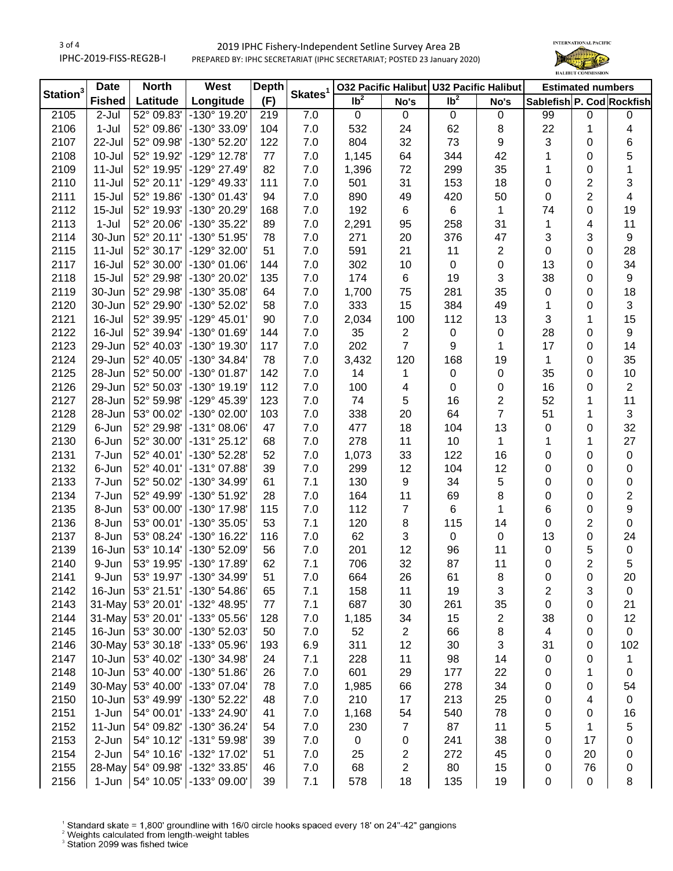3 of 4 IPHC-2019-FISS-REG2B-I

## 2019 IPHC Fishery-Independent Setline Survey Area 2B PREPARED BY: IPHC SECRETARIAT (IPHC SECRETARIAT; POSTED 23 January 2020)



| Station <sup>3</sup><br>Skates <sup>1</sup><br>Ib <sup>2</sup><br>$\overline{\mathsf{lb}^2}$<br>(F)<br><b>Fished</b><br>Latitude<br>Longitude<br>Sablefish P. Cod Rockfish<br>No's<br>No's<br>52° 09.83'<br>$-130^\circ$ 19.20'<br>2105<br>2-Jul<br>219<br>7.0<br>$\mathsf 0$<br>99<br>0<br>$\mathbf 0$<br>0<br>$\mathbf 0$<br>0<br>$1-Jul$<br>52° 09.86'<br>-130° 33.09'<br>22<br>2106<br>104<br>7.0<br>532<br>24<br>62<br>8<br>4<br>1<br>804<br>32<br>73<br>9<br>3<br>6<br>2107<br>52° 09.98'<br>-130° 52.20'<br>122<br>7.0<br>0<br>22-Jul<br>5<br>2108<br>10-Jul<br>52° 19.92'<br>-129° 12.78'<br>7.0<br>1,145<br>64<br>344<br>42<br>0<br>77<br>1<br>35<br>1<br>2109<br>52° 19.95'<br>-129° 27.49'<br>82<br>7.0<br>1,396<br>299<br>11-Jul<br>72<br>1<br>0<br>31<br>$\overline{2}$<br>3<br>2110<br>$11 -$ Jul<br>52° 20.11'<br>-129° 49.33'<br>111<br>7.0<br>501<br>153<br>18<br>0<br>$\overline{2}$<br>4<br>2111<br>$15 -$ Jul<br>52° 19.86'<br>$-130^{\circ}$ 01.43'<br>7.0<br>890<br>49<br>420<br>50<br>$\pmb{0}$<br>94<br>2112<br>$15 -$ Jul<br>52° 19.93'<br>-130° 20.29'<br>7.0<br>192<br>6<br>1<br>74<br>0<br>19<br>168<br>6<br>$1-Jul$<br>52° 20.06'<br>11<br>2113<br>-130° 35.22'<br>89<br>7.0<br>2,291<br>95<br>258<br>31<br>4<br>1<br>52° 20.11'<br>3<br>2114<br>30-Jun<br>-130° 51.95'<br>7.0<br>271<br>376<br>47<br>3<br>9<br>78<br>20<br>52° 30.17'<br>11<br>2<br>28<br>2115<br>-129° 32.00'<br>51<br>7.0<br>591<br>21<br>$\pmb{0}$<br>0<br>$11 -$ Jul<br>$\boldsymbol{0}$<br>13<br>34<br>2117<br>52° 30.00'<br>$-130^{\circ}$ 01.06'<br>7.0<br>302<br>10<br>0<br>0<br>16-Jul<br>144<br>19<br>3<br>38<br>$\boldsymbol{9}$<br>2118<br>$15 -$ Jul<br>52° 29.98'<br>-130° 20.02'<br>135<br>7.0<br>174<br>6<br>0<br>35<br>18<br>2119<br>30-Jun<br>52° 29.98'<br>-130° 35.08'<br>7.0<br>1,700<br>75<br>281<br>$\pmb{0}$<br>0<br>64<br>333<br>384<br>49<br>3<br>2120<br>30-Jun<br>52° 29.90'<br>-130° 52.02'<br>58<br>7.0<br>15<br>1<br>0<br>3<br>15<br>112<br>13<br>2121<br>16-Jul<br>52° 39.95'<br>$-129°$ 45.01'<br>90<br>7.0<br>2,034<br>100<br>1<br>28<br>$\boldsymbol{9}$<br>2122<br>16-Jul<br>52° 39.94'<br>-130° 01.69'<br>144<br>7.0<br>35<br>$\overline{c}$<br>0<br>0<br>$\pmb{0}$<br>$\overline{7}$<br>202<br>14<br>2123<br>29-Jun<br>52° 40.03'<br>-130° 19.30'<br>117<br>7.0<br>9<br>1<br>17<br>0<br>168<br>35<br>2124<br>29-Jun<br>52° 40.05'<br>-130° 34.84'<br>78<br>7.0<br>3,432<br>120<br>19<br>1<br>0<br>35<br>2125<br>28-Jun<br>52° 50.00'<br>-130° 01.87'<br>7.0<br>14<br>$\boldsymbol{0}$<br>0<br>10<br>142<br>0<br>1<br>$\overline{\mathbf{c}}$<br>2126<br>29-Jun<br>52° 50.03'<br>-130° 19.19'<br>112<br>7.0<br>100<br>0<br>0<br>16<br>0<br>4<br>2<br>11<br>2127<br>28-Jun<br>52° 59.98'<br>-129° 45.39'<br>123<br>7.0<br>74<br>5<br>16<br>52<br>1<br>$\overline{7}$<br>3<br>2128<br>28-Jun<br>53° 00.02'<br>-130° 02.00'<br>7.0<br>338<br>20<br>64<br>51<br>103<br>1 |
|---------------------------------------------------------------------------------------------------------------------------------------------------------------------------------------------------------------------------------------------------------------------------------------------------------------------------------------------------------------------------------------------------------------------------------------------------------------------------------------------------------------------------------------------------------------------------------------------------------------------------------------------------------------------------------------------------------------------------------------------------------------------------------------------------------------------------------------------------------------------------------------------------------------------------------------------------------------------------------------------------------------------------------------------------------------------------------------------------------------------------------------------------------------------------------------------------------------------------------------------------------------------------------------------------------------------------------------------------------------------------------------------------------------------------------------------------------------------------------------------------------------------------------------------------------------------------------------------------------------------------------------------------------------------------------------------------------------------------------------------------------------------------------------------------------------------------------------------------------------------------------------------------------------------------------------------------------------------------------------------------------------------------------------------------------------------------------------------------------------------------------------------------------------------------------------------------------------------------------------------------------------------------------------------------------------------------------------------------------------------------------------------------------------------------------------------------------------------------------------------------------------------------------------------------------------------------------------------------------------------------------------------------------------------------------------------------------------------------------------------------------------------------------------------------------------------------------------------------------------------------------------------------------|
|                                                                                                                                                                                                                                                                                                                                                                                                                                                                                                                                                                                                                                                                                                                                                                                                                                                                                                                                                                                                                                                                                                                                                                                                                                                                                                                                                                                                                                                                                                                                                                                                                                                                                                                                                                                                                                                                                                                                                                                                                                                                                                                                                                                                                                                                                                                                                                                                                                                                                                                                                                                                                                                                                                                                                                                                                                                                                                         |
|                                                                                                                                                                                                                                                                                                                                                                                                                                                                                                                                                                                                                                                                                                                                                                                                                                                                                                                                                                                                                                                                                                                                                                                                                                                                                                                                                                                                                                                                                                                                                                                                                                                                                                                                                                                                                                                                                                                                                                                                                                                                                                                                                                                                                                                                                                                                                                                                                                                                                                                                                                                                                                                                                                                                                                                                                                                                                                         |
|                                                                                                                                                                                                                                                                                                                                                                                                                                                                                                                                                                                                                                                                                                                                                                                                                                                                                                                                                                                                                                                                                                                                                                                                                                                                                                                                                                                                                                                                                                                                                                                                                                                                                                                                                                                                                                                                                                                                                                                                                                                                                                                                                                                                                                                                                                                                                                                                                                                                                                                                                                                                                                                                                                                                                                                                                                                                                                         |
|                                                                                                                                                                                                                                                                                                                                                                                                                                                                                                                                                                                                                                                                                                                                                                                                                                                                                                                                                                                                                                                                                                                                                                                                                                                                                                                                                                                                                                                                                                                                                                                                                                                                                                                                                                                                                                                                                                                                                                                                                                                                                                                                                                                                                                                                                                                                                                                                                                                                                                                                                                                                                                                                                                                                                                                                                                                                                                         |
|                                                                                                                                                                                                                                                                                                                                                                                                                                                                                                                                                                                                                                                                                                                                                                                                                                                                                                                                                                                                                                                                                                                                                                                                                                                                                                                                                                                                                                                                                                                                                                                                                                                                                                                                                                                                                                                                                                                                                                                                                                                                                                                                                                                                                                                                                                                                                                                                                                                                                                                                                                                                                                                                                                                                                                                                                                                                                                         |
|                                                                                                                                                                                                                                                                                                                                                                                                                                                                                                                                                                                                                                                                                                                                                                                                                                                                                                                                                                                                                                                                                                                                                                                                                                                                                                                                                                                                                                                                                                                                                                                                                                                                                                                                                                                                                                                                                                                                                                                                                                                                                                                                                                                                                                                                                                                                                                                                                                                                                                                                                                                                                                                                                                                                                                                                                                                                                                         |
|                                                                                                                                                                                                                                                                                                                                                                                                                                                                                                                                                                                                                                                                                                                                                                                                                                                                                                                                                                                                                                                                                                                                                                                                                                                                                                                                                                                                                                                                                                                                                                                                                                                                                                                                                                                                                                                                                                                                                                                                                                                                                                                                                                                                                                                                                                                                                                                                                                                                                                                                                                                                                                                                                                                                                                                                                                                                                                         |
|                                                                                                                                                                                                                                                                                                                                                                                                                                                                                                                                                                                                                                                                                                                                                                                                                                                                                                                                                                                                                                                                                                                                                                                                                                                                                                                                                                                                                                                                                                                                                                                                                                                                                                                                                                                                                                                                                                                                                                                                                                                                                                                                                                                                                                                                                                                                                                                                                                                                                                                                                                                                                                                                                                                                                                                                                                                                                                         |
|                                                                                                                                                                                                                                                                                                                                                                                                                                                                                                                                                                                                                                                                                                                                                                                                                                                                                                                                                                                                                                                                                                                                                                                                                                                                                                                                                                                                                                                                                                                                                                                                                                                                                                                                                                                                                                                                                                                                                                                                                                                                                                                                                                                                                                                                                                                                                                                                                                                                                                                                                                                                                                                                                                                                                                                                                                                                                                         |
|                                                                                                                                                                                                                                                                                                                                                                                                                                                                                                                                                                                                                                                                                                                                                                                                                                                                                                                                                                                                                                                                                                                                                                                                                                                                                                                                                                                                                                                                                                                                                                                                                                                                                                                                                                                                                                                                                                                                                                                                                                                                                                                                                                                                                                                                                                                                                                                                                                                                                                                                                                                                                                                                                                                                                                                                                                                                                                         |
|                                                                                                                                                                                                                                                                                                                                                                                                                                                                                                                                                                                                                                                                                                                                                                                                                                                                                                                                                                                                                                                                                                                                                                                                                                                                                                                                                                                                                                                                                                                                                                                                                                                                                                                                                                                                                                                                                                                                                                                                                                                                                                                                                                                                                                                                                                                                                                                                                                                                                                                                                                                                                                                                                                                                                                                                                                                                                                         |
|                                                                                                                                                                                                                                                                                                                                                                                                                                                                                                                                                                                                                                                                                                                                                                                                                                                                                                                                                                                                                                                                                                                                                                                                                                                                                                                                                                                                                                                                                                                                                                                                                                                                                                                                                                                                                                                                                                                                                                                                                                                                                                                                                                                                                                                                                                                                                                                                                                                                                                                                                                                                                                                                                                                                                                                                                                                                                                         |
|                                                                                                                                                                                                                                                                                                                                                                                                                                                                                                                                                                                                                                                                                                                                                                                                                                                                                                                                                                                                                                                                                                                                                                                                                                                                                                                                                                                                                                                                                                                                                                                                                                                                                                                                                                                                                                                                                                                                                                                                                                                                                                                                                                                                                                                                                                                                                                                                                                                                                                                                                                                                                                                                                                                                                                                                                                                                                                         |
|                                                                                                                                                                                                                                                                                                                                                                                                                                                                                                                                                                                                                                                                                                                                                                                                                                                                                                                                                                                                                                                                                                                                                                                                                                                                                                                                                                                                                                                                                                                                                                                                                                                                                                                                                                                                                                                                                                                                                                                                                                                                                                                                                                                                                                                                                                                                                                                                                                                                                                                                                                                                                                                                                                                                                                                                                                                                                                         |
|                                                                                                                                                                                                                                                                                                                                                                                                                                                                                                                                                                                                                                                                                                                                                                                                                                                                                                                                                                                                                                                                                                                                                                                                                                                                                                                                                                                                                                                                                                                                                                                                                                                                                                                                                                                                                                                                                                                                                                                                                                                                                                                                                                                                                                                                                                                                                                                                                                                                                                                                                                                                                                                                                                                                                                                                                                                                                                         |
|                                                                                                                                                                                                                                                                                                                                                                                                                                                                                                                                                                                                                                                                                                                                                                                                                                                                                                                                                                                                                                                                                                                                                                                                                                                                                                                                                                                                                                                                                                                                                                                                                                                                                                                                                                                                                                                                                                                                                                                                                                                                                                                                                                                                                                                                                                                                                                                                                                                                                                                                                                                                                                                                                                                                                                                                                                                                                                         |
|                                                                                                                                                                                                                                                                                                                                                                                                                                                                                                                                                                                                                                                                                                                                                                                                                                                                                                                                                                                                                                                                                                                                                                                                                                                                                                                                                                                                                                                                                                                                                                                                                                                                                                                                                                                                                                                                                                                                                                                                                                                                                                                                                                                                                                                                                                                                                                                                                                                                                                                                                                                                                                                                                                                                                                                                                                                                                                         |
|                                                                                                                                                                                                                                                                                                                                                                                                                                                                                                                                                                                                                                                                                                                                                                                                                                                                                                                                                                                                                                                                                                                                                                                                                                                                                                                                                                                                                                                                                                                                                                                                                                                                                                                                                                                                                                                                                                                                                                                                                                                                                                                                                                                                                                                                                                                                                                                                                                                                                                                                                                                                                                                                                                                                                                                                                                                                                                         |
|                                                                                                                                                                                                                                                                                                                                                                                                                                                                                                                                                                                                                                                                                                                                                                                                                                                                                                                                                                                                                                                                                                                                                                                                                                                                                                                                                                                                                                                                                                                                                                                                                                                                                                                                                                                                                                                                                                                                                                                                                                                                                                                                                                                                                                                                                                                                                                                                                                                                                                                                                                                                                                                                                                                                                                                                                                                                                                         |
|                                                                                                                                                                                                                                                                                                                                                                                                                                                                                                                                                                                                                                                                                                                                                                                                                                                                                                                                                                                                                                                                                                                                                                                                                                                                                                                                                                                                                                                                                                                                                                                                                                                                                                                                                                                                                                                                                                                                                                                                                                                                                                                                                                                                                                                                                                                                                                                                                                                                                                                                                                                                                                                                                                                                                                                                                                                                                                         |
|                                                                                                                                                                                                                                                                                                                                                                                                                                                                                                                                                                                                                                                                                                                                                                                                                                                                                                                                                                                                                                                                                                                                                                                                                                                                                                                                                                                                                                                                                                                                                                                                                                                                                                                                                                                                                                                                                                                                                                                                                                                                                                                                                                                                                                                                                                                                                                                                                                                                                                                                                                                                                                                                                                                                                                                                                                                                                                         |
|                                                                                                                                                                                                                                                                                                                                                                                                                                                                                                                                                                                                                                                                                                                                                                                                                                                                                                                                                                                                                                                                                                                                                                                                                                                                                                                                                                                                                                                                                                                                                                                                                                                                                                                                                                                                                                                                                                                                                                                                                                                                                                                                                                                                                                                                                                                                                                                                                                                                                                                                                                                                                                                                                                                                                                                                                                                                                                         |
|                                                                                                                                                                                                                                                                                                                                                                                                                                                                                                                                                                                                                                                                                                                                                                                                                                                                                                                                                                                                                                                                                                                                                                                                                                                                                                                                                                                                                                                                                                                                                                                                                                                                                                                                                                                                                                                                                                                                                                                                                                                                                                                                                                                                                                                                                                                                                                                                                                                                                                                                                                                                                                                                                                                                                                                                                                                                                                         |
|                                                                                                                                                                                                                                                                                                                                                                                                                                                                                                                                                                                                                                                                                                                                                                                                                                                                                                                                                                                                                                                                                                                                                                                                                                                                                                                                                                                                                                                                                                                                                                                                                                                                                                                                                                                                                                                                                                                                                                                                                                                                                                                                                                                                                                                                                                                                                                                                                                                                                                                                                                                                                                                                                                                                                                                                                                                                                                         |
| 52° 29.98'<br>32<br>2129<br>6-Jun<br>$-131^{\circ}$ 08.06'<br>7.0<br>477<br>18<br>104<br>13<br>47<br>0<br>0                                                                                                                                                                                                                                                                                                                                                                                                                                                                                                                                                                                                                                                                                                                                                                                                                                                                                                                                                                                                                                                                                                                                                                                                                                                                                                                                                                                                                                                                                                                                                                                                                                                                                                                                                                                                                                                                                                                                                                                                                                                                                                                                                                                                                                                                                                                                                                                                                                                                                                                                                                                                                                                                                                                                                                                             |
| 52° 30.00'<br>27<br>2130<br>6-Jun<br>$-131°25.12'$<br>7.0<br>278<br>10<br>1<br>68<br>11<br>1<br>1                                                                                                                                                                                                                                                                                                                                                                                                                                                                                                                                                                                                                                                                                                                                                                                                                                                                                                                                                                                                                                                                                                                                                                                                                                                                                                                                                                                                                                                                                                                                                                                                                                                                                                                                                                                                                                                                                                                                                                                                                                                                                                                                                                                                                                                                                                                                                                                                                                                                                                                                                                                                                                                                                                                                                                                                       |
| 52° 40.01'<br>-130° 52.28'<br>7.0<br>2131<br>7-Jun<br>52<br>1,073<br>33<br>122<br>16<br>0<br>$\pmb{0}$<br>0                                                                                                                                                                                                                                                                                                                                                                                                                                                                                                                                                                                                                                                                                                                                                                                                                                                                                                                                                                                                                                                                                                                                                                                                                                                                                                                                                                                                                                                                                                                                                                                                                                                                                                                                                                                                                                                                                                                                                                                                                                                                                                                                                                                                                                                                                                                                                                                                                                                                                                                                                                                                                                                                                                                                                                                             |
| 12<br>2132<br>6-Jun<br>52° 40.01'<br>-131° 07.88'<br>39<br>7.0<br>299<br>12<br>104<br>0<br>0<br>0                                                                                                                                                                                                                                                                                                                                                                                                                                                                                                                                                                                                                                                                                                                                                                                                                                                                                                                                                                                                                                                                                                                                                                                                                                                                                                                                                                                                                                                                                                                                                                                                                                                                                                                                                                                                                                                                                                                                                                                                                                                                                                                                                                                                                                                                                                                                                                                                                                                                                                                                                                                                                                                                                                                                                                                                       |
| 7.1<br>5<br>2133<br>7-Jun<br>52° 50.02'<br>-130° 34.99'<br>61<br>130<br>9<br>34<br>0<br>0<br>0                                                                                                                                                                                                                                                                                                                                                                                                                                                                                                                                                                                                                                                                                                                                                                                                                                                                                                                                                                                                                                                                                                                                                                                                                                                                                                                                                                                                                                                                                                                                                                                                                                                                                                                                                                                                                                                                                                                                                                                                                                                                                                                                                                                                                                                                                                                                                                                                                                                                                                                                                                                                                                                                                                                                                                                                          |
| $\overline{\mathbf{c}}$<br>7.0<br>8<br>2134<br>7-Jun<br>52° 49.99'<br>-130° 51.92'<br>28<br>164<br>11<br>69<br>0<br>0                                                                                                                                                                                                                                                                                                                                                                                                                                                                                                                                                                                                                                                                                                                                                                                                                                                                                                                                                                                                                                                                                                                                                                                                                                                                                                                                                                                                                                                                                                                                                                                                                                                                                                                                                                                                                                                                                                                                                                                                                                                                                                                                                                                                                                                                                                                                                                                                                                                                                                                                                                                                                                                                                                                                                                                   |
| 9<br>7.0<br>6<br>1<br>2135<br>8-Jun<br>53° 00.00'<br>-130° 17.98'<br>115<br>112<br>$\overline{7}$<br>6<br>$\mathbf 0$                                                                                                                                                                                                                                                                                                                                                                                                                                                                                                                                                                                                                                                                                                                                                                                                                                                                                                                                                                                                                                                                                                                                                                                                                                                                                                                                                                                                                                                                                                                                                                                                                                                                                                                                                                                                                                                                                                                                                                                                                                                                                                                                                                                                                                                                                                                                                                                                                                                                                                                                                                                                                                                                                                                                                                                   |
| $\overline{2}$<br>7.1<br>8<br>2136<br>53° 00.01'<br>-130° 35.05'<br>53<br>120<br>115<br>14<br>$\mathbf 0$<br>$\mathsf 0$<br>8-Jun                                                                                                                                                                                                                                                                                                                                                                                                                                                                                                                                                                                                                                                                                                                                                                                                                                                                                                                                                                                                                                                                                                                                                                                                                                                                                                                                                                                                                                                                                                                                                                                                                                                                                                                                                                                                                                                                                                                                                                                                                                                                                                                                                                                                                                                                                                                                                                                                                                                                                                                                                                                                                                                                                                                                                                       |
| 7.0<br>62<br>3<br>24<br>2137<br>8-Jun<br>53° 08.24'<br>-130° 16.22'<br>116<br>$\mathsf 0$<br>0<br>13<br>$\mathbf 0$                                                                                                                                                                                                                                                                                                                                                                                                                                                                                                                                                                                                                                                                                                                                                                                                                                                                                                                                                                                                                                                                                                                                                                                                                                                                                                                                                                                                                                                                                                                                                                                                                                                                                                                                                                                                                                                                                                                                                                                                                                                                                                                                                                                                                                                                                                                                                                                                                                                                                                                                                                                                                                                                                                                                                                                     |
| 7.0<br>2139<br>53° 10.14'<br>-130° 52.09'<br>201<br>12<br>96<br>11<br>5<br>$\pmb{0}$<br>16-Jun<br>56<br>0                                                                                                                                                                                                                                                                                                                                                                                                                                                                                                                                                                                                                                                                                                                                                                                                                                                                                                                                                                                                                                                                                                                                                                                                                                                                                                                                                                                                                                                                                                                                                                                                                                                                                                                                                                                                                                                                                                                                                                                                                                                                                                                                                                                                                                                                                                                                                                                                                                                                                                                                                                                                                                                                                                                                                                                               |
| $\overline{2}$<br>5<br>7.1<br>706<br>32<br>11<br>2140<br>9-Jun<br>53° 19.95'<br>-130° 17.89'<br>62<br>87<br>0                                                                                                                                                                                                                                                                                                                                                                                                                                                                                                                                                                                                                                                                                                                                                                                                                                                                                                                                                                                                                                                                                                                                                                                                                                                                                                                                                                                                                                                                                                                                                                                                                                                                                                                                                                                                                                                                                                                                                                                                                                                                                                                                                                                                                                                                                                                                                                                                                                                                                                                                                                                                                                                                                                                                                                                           |
| 53° 19.97'<br>-130° 34.99'<br>2141<br>9-Jun<br>51<br>7.0<br>664<br>26<br>61<br>8<br>0<br>0<br>20                                                                                                                                                                                                                                                                                                                                                                                                                                                                                                                                                                                                                                                                                                                                                                                                                                                                                                                                                                                                                                                                                                                                                                                                                                                                                                                                                                                                                                                                                                                                                                                                                                                                                                                                                                                                                                                                                                                                                                                                                                                                                                                                                                                                                                                                                                                                                                                                                                                                                                                                                                                                                                                                                                                                                                                                        |
| 3<br>2<br>3<br>2142<br>$16$ -Jun<br>53° 21.51'<br>$-130^{\circ} 54.86'$<br>65<br>7.1<br>158<br>11<br>19<br>$\pmb{0}$                                                                                                                                                                                                                                                                                                                                                                                                                                                                                                                                                                                                                                                                                                                                                                                                                                                                                                                                                                                                                                                                                                                                                                                                                                                                                                                                                                                                                                                                                                                                                                                                                                                                                                                                                                                                                                                                                                                                                                                                                                                                                                                                                                                                                                                                                                                                                                                                                                                                                                                                                                                                                                                                                                                                                                                    |
| 31-May<br>53° 20.01'<br>2143<br>-132° 48.95'<br>77<br>7.1<br>687<br>30<br>261<br>35<br>0<br>0<br>21                                                                                                                                                                                                                                                                                                                                                                                                                                                                                                                                                                                                                                                                                                                                                                                                                                                                                                                                                                                                                                                                                                                                                                                                                                                                                                                                                                                                                                                                                                                                                                                                                                                                                                                                                                                                                                                                                                                                                                                                                                                                                                                                                                                                                                                                                                                                                                                                                                                                                                                                                                                                                                                                                                                                                                                                     |
| 53° 20.01'<br>2<br>38<br>12<br>2144<br>31-May<br>-133° 05.56'<br>128<br>7.0<br>1,185<br>34<br>15<br>0                                                                                                                                                                                                                                                                                                                                                                                                                                                                                                                                                                                                                                                                                                                                                                                                                                                                                                                                                                                                                                                                                                                                                                                                                                                                                                                                                                                                                                                                                                                                                                                                                                                                                                                                                                                                                                                                                                                                                                                                                                                                                                                                                                                                                                                                                                                                                                                                                                                                                                                                                                                                                                                                                                                                                                                                   |
| 2145<br>53° 30.00'<br>-130° 52.03'<br>7.0<br>52<br>$\overline{2}$<br>8<br>$16$ -Jun<br>50<br>66<br>4<br>0<br>0                                                                                                                                                                                                                                                                                                                                                                                                                                                                                                                                                                                                                                                                                                                                                                                                                                                                                                                                                                                                                                                                                                                                                                                                                                                                                                                                                                                                                                                                                                                                                                                                                                                                                                                                                                                                                                                                                                                                                                                                                                                                                                                                                                                                                                                                                                                                                                                                                                                                                                                                                                                                                                                                                                                                                                                          |
| 30-May<br>53° 30.18'<br>-133° 05.96'<br>311<br>3<br>102<br>2146<br>6.9<br>12<br>30<br>31<br>193<br>0                                                                                                                                                                                                                                                                                                                                                                                                                                                                                                                                                                                                                                                                                                                                                                                                                                                                                                                                                                                                                                                                                                                                                                                                                                                                                                                                                                                                                                                                                                                                                                                                                                                                                                                                                                                                                                                                                                                                                                                                                                                                                                                                                                                                                                                                                                                                                                                                                                                                                                                                                                                                                                                                                                                                                                                                    |
| 2147<br>$10$ -Jun<br>53° 40.02'<br>7.1<br>98<br>-130° 34.98'<br>24<br>228<br>11<br>14<br>0<br>0<br>1                                                                                                                                                                                                                                                                                                                                                                                                                                                                                                                                                                                                                                                                                                                                                                                                                                                                                                                                                                                                                                                                                                                                                                                                                                                                                                                                                                                                                                                                                                                                                                                                                                                                                                                                                                                                                                                                                                                                                                                                                                                                                                                                                                                                                                                                                                                                                                                                                                                                                                                                                                                                                                                                                                                                                                                                    |
| 2148<br>$10$ -Jun<br>53° 40.00'<br>$-130^{\circ} 51.86'$<br>7.0<br>601<br>29<br>22<br>26<br>177<br>0<br>1<br>0                                                                                                                                                                                                                                                                                                                                                                                                                                                                                                                                                                                                                                                                                                                                                                                                                                                                                                                                                                                                                                                                                                                                                                                                                                                                                                                                                                                                                                                                                                                                                                                                                                                                                                                                                                                                                                                                                                                                                                                                                                                                                                                                                                                                                                                                                                                                                                                                                                                                                                                                                                                                                                                                                                                                                                                          |
| 2149<br>30-May<br>53° 40.00'<br>-133° 07.04'<br>7.0<br>66<br>278<br>34<br>78<br>1,985<br>0<br>0<br>54                                                                                                                                                                                                                                                                                                                                                                                                                                                                                                                                                                                                                                                                                                                                                                                                                                                                                                                                                                                                                                                                                                                                                                                                                                                                                                                                                                                                                                                                                                                                                                                                                                                                                                                                                                                                                                                                                                                                                                                                                                                                                                                                                                                                                                                                                                                                                                                                                                                                                                                                                                                                                                                                                                                                                                                                   |
| 2150<br>53° 49.99'<br>-130° 52.22'<br>7.0<br>210<br>17<br>213<br>25<br>10-Jun<br>48<br>0<br>4<br>0                                                                                                                                                                                                                                                                                                                                                                                                                                                                                                                                                                                                                                                                                                                                                                                                                                                                                                                                                                                                                                                                                                                                                                                                                                                                                                                                                                                                                                                                                                                                                                                                                                                                                                                                                                                                                                                                                                                                                                                                                                                                                                                                                                                                                                                                                                                                                                                                                                                                                                                                                                                                                                                                                                                                                                                                      |
| 2151<br>1-Jun<br>54° 00.01'<br>7.0<br>78<br>0<br>16<br>-133° 24.90'<br>41<br>1,168<br>54<br>540<br>0                                                                                                                                                                                                                                                                                                                                                                                                                                                                                                                                                                                                                                                                                                                                                                                                                                                                                                                                                                                                                                                                                                                                                                                                                                                                                                                                                                                                                                                                                                                                                                                                                                                                                                                                                                                                                                                                                                                                                                                                                                                                                                                                                                                                                                                                                                                                                                                                                                                                                                                                                                                                                                                                                                                                                                                                    |
| 11<br>5<br>5<br>2152<br>$11-Jun$<br>54° 09.82'<br>-130° 36.24'<br>7.0<br>230<br>87<br>1<br>54<br>$\overline{7}$                                                                                                                                                                                                                                                                                                                                                                                                                                                                                                                                                                                                                                                                                                                                                                                                                                                                                                                                                                                                                                                                                                                                                                                                                                                                                                                                                                                                                                                                                                                                                                                                                                                                                                                                                                                                                                                                                                                                                                                                                                                                                                                                                                                                                                                                                                                                                                                                                                                                                                                                                                                                                                                                                                                                                                                         |
| 2153<br>54° 10.12'<br>-131° 59.98'<br>$7.0$<br>241<br>0<br>17<br>2-Jun<br>39<br>$\mathbf 0$<br>0<br>38<br>0                                                                                                                                                                                                                                                                                                                                                                                                                                                                                                                                                                                                                                                                                                                                                                                                                                                                                                                                                                                                                                                                                                                                                                                                                                                                                                                                                                                                                                                                                                                                                                                                                                                                                                                                                                                                                                                                                                                                                                                                                                                                                                                                                                                                                                                                                                                                                                                                                                                                                                                                                                                                                                                                                                                                                                                             |
| 2154<br>2-Jun<br>54° 10.16'<br>-132° 17.02'<br>7.0<br>2<br>272<br>45<br>0<br>20<br>51<br>25<br>0                                                                                                                                                                                                                                                                                                                                                                                                                                                                                                                                                                                                                                                                                                                                                                                                                                                                                                                                                                                                                                                                                                                                                                                                                                                                                                                                                                                                                                                                                                                                                                                                                                                                                                                                                                                                                                                                                                                                                                                                                                                                                                                                                                                                                                                                                                                                                                                                                                                                                                                                                                                                                                                                                                                                                                                                        |
| 2<br>2155<br>54° 09.98'<br>-132° 33.85'<br>46<br>7.0<br>80<br>76<br>28-May<br>68<br>15<br>0<br>0                                                                                                                                                                                                                                                                                                                                                                                                                                                                                                                                                                                                                                                                                                                                                                                                                                                                                                                                                                                                                                                                                                                                                                                                                                                                                                                                                                                                                                                                                                                                                                                                                                                                                                                                                                                                                                                                                                                                                                                                                                                                                                                                                                                                                                                                                                                                                                                                                                                                                                                                                                                                                                                                                                                                                                                                        |
| 54° 10.05'<br>2156<br>-133° 09.00'<br>39<br>7.1<br>578<br>18<br>135<br>19<br>0<br>$\pmb{0}$<br>8<br>1-Jun                                                                                                                                                                                                                                                                                                                                                                                                                                                                                                                                                                                                                                                                                                                                                                                                                                                                                                                                                                                                                                                                                                                                                                                                                                                                                                                                                                                                                                                                                                                                                                                                                                                                                                                                                                                                                                                                                                                                                                                                                                                                                                                                                                                                                                                                                                                                                                                                                                                                                                                                                                                                                                                                                                                                                                                               |